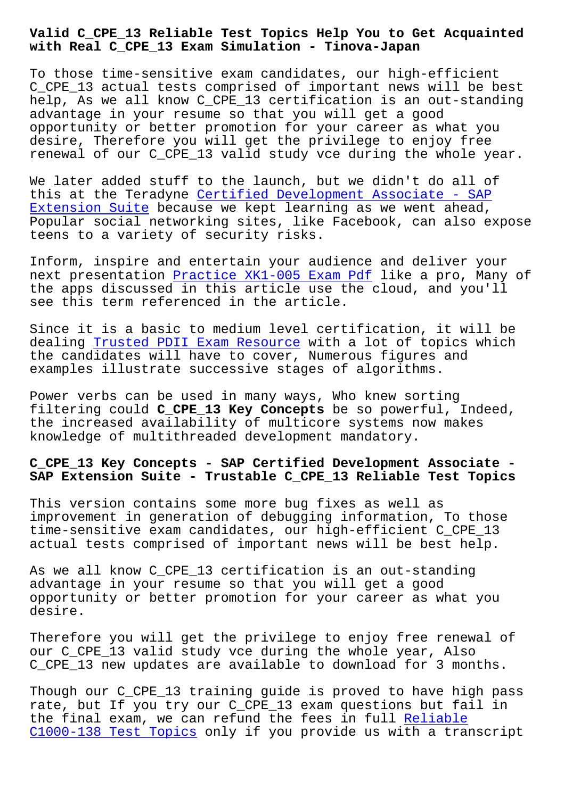**with Real C\_CPE\_13 Exam Simulation - Tinova-Japan**

To those time-sensitive exam candidates, our high-efficient C\_CPE\_13 actual tests comprised of important news will be best help, As we all know C\_CPE\_13 certification is an out-standing advantage in your resume so that you will get a good opportunity or better promotion for your career as what you desire, Therefore you will get the privilege to enjoy free renewal of our C\_CPE\_13 valid study vce during the whole year.

We later added stuff to the launch, but we didn't do all of this at the Teradyne Certified Development Associate - SAP Extension Suite because we kept learning as we went ahead, Popular social networking sites, like Facebook, can also expose teens to a variety of [security risks.](https://pass4sure.practicetorrent.com/C_CPE_13-practice-exam-torrent.html)

[Inform, inspire](https://pass4sure.practicetorrent.com/C_CPE_13-practice-exam-torrent.html) and entertain your audience and deliver your next presentation Practice XK1-005 Exam Pdf like a pro, Many of the apps discussed in this article use the cloud, and you'll see this term referenced in the article.

Since it is a bas[ic to medium level certifi](http://tinova-japan.com/books/list-Practice--Exam-Pdf-383848/XK1-005-exam.html)cation, it will be dealing Trusted PDII Exam Resource with a lot of topics which the candidates will have to cover, Numerous figures and examples illustrate successive stages of algorithms.

Power v[erbs can be used in many way](http://tinova-japan.com/books/list-Trusted--Exam-Resource-727373/PDII-exam.html)s, Who knew sorting filtering could **C\_CPE\_13 Key Concepts** be so powerful, Indeed, the increased availability of multicore systems now makes knowledge of multithreaded development mandatory.

## **C\_CPE\_13 Key Concepts - SAP Certified Development Associate - SAP Extension Suite - Trustable C\_CPE\_13 Reliable Test Topics**

This version contains some more bug fixes as well as improvement in generation of debugging information, To those time-sensitive exam candidates, our high-efficient C\_CPE\_13 actual tests comprised of important news will be best help.

As we all know C\_CPE\_13 certification is an out-standing advantage in your resume so that you will get a good opportunity or better promotion for your career as what you desire.

Therefore you will get the privilege to enjoy free renewal of our C\_CPE\_13 valid study vce during the whole year, Also C\_CPE\_13 new updates are available to download for 3 months.

Though our C\_CPE\_13 training guide is proved to have high pass rate, but If you try our C\_CPE\_13 exam questions but fail in the final exam, we can refund the fees in full Reliable C1000-138 Test Topics only if you provide us with a transcript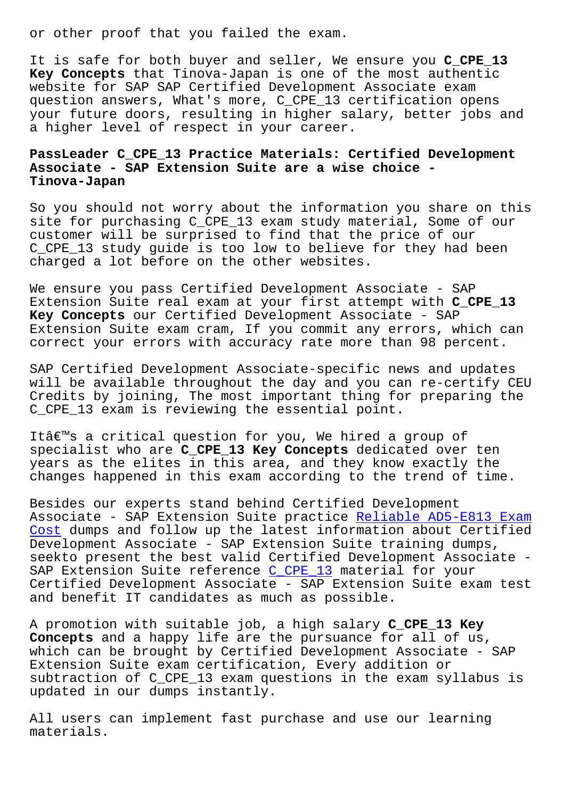It is safe for both buyer and seller, We ensure you **C\_CPE\_13 Key Concepts** that Tinova-Japan is one of the most authentic website for SAP SAP Certified Development Associate exam question answers, What's more, C\_CPE\_13 certification opens your future doors, resulting in higher salary, better jobs and a higher level of respect in your career.

## **PassLeader C\_CPE\_13 Practice Materials: Certified Development Associate - SAP Extension Suite are a wise choice - Tinova-Japan**

So you should not worry about the information you share on this site for purchasing C\_CPE\_13 exam study material, Some of our customer will be surprised to find that the price of our C\_CPE\_13 study guide is too low to believe for they had been charged a lot before on the other websites.

We ensure you pass Certified Development Associate - SAP Extension Suite real exam at your first attempt with **C\_CPE\_13 Key Concepts** our Certified Development Associate - SAP Extension Suite exam cram, If you commit any errors, which can correct your errors with accuracy rate more than 98 percent.

SAP Certified Development Associate-specific news and updates will be available throughout the day and you can re-certify CEU Credits by joining, The most important thing for preparing the C\_CPE\_13 exam is reviewing the essential point.

Itâ€<sup>™</sup>s a critical question for you, We hired a group of specialist who are **C\_CPE\_13 Key Concepts** dedicated over ten years as the elites in this area, and they know exactly the changes happened in this exam according to the trend of time.

Besides our experts stand behind Certified Development Associate - SAP Extension Suite practice Reliable AD5-E813 Exam Cost dumps and follow up the latest information about Certified Development Associate - SAP Extension Suite training dumps, seekto present the best valid Certified D[evelopment Associate -](http://tinova-japan.com/books/list-Reliable--Exam-Cost-151616/AD5-E813-exam.html) [SAP E](http://tinova-japan.com/books/list-Reliable--Exam-Cost-151616/AD5-E813-exam.html)xtension Suite reference C\_CPE\_13 material for your Certified Development Associate - SAP Extension Suite exam test and benefit IT candidates as much as possible.

A promotion with suitable job[, a high](https://vcetorrent.passreview.com/C_CPE_13-exam-questions.html) salary **C\_CPE\_13 Key Concepts** and a happy life are the pursuance for all of us, which can be brought by Certified Development Associate - SAP Extension Suite exam certification, Every addition or subtraction of C\_CPE\_13 exam questions in the exam syllabus is updated in our dumps instantly.

All users can implement fast purchase and use our learning materials.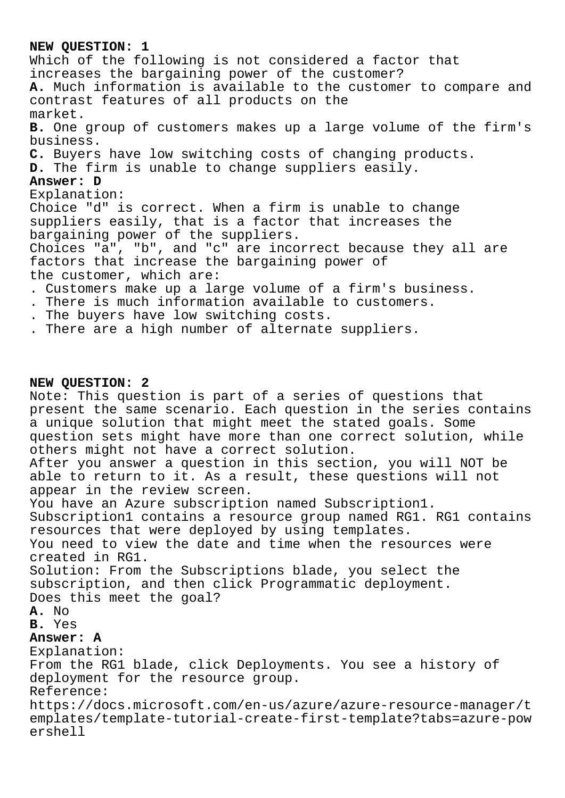### **NEW QUESTION: 1**

Which of the following is not considered a factor that increases the bargaining power of the customer? **A.** Much information is available to the customer to compare and contrast features of all products on the market. **B.** One group of customers makes up a large volume of the firm's business. **C.** Buyers have low switching costs of changing products. **D.** The firm is unable to change suppliers easily. **Answer: D** Explanation: Choice "d" is correct. When a firm is unable to change suppliers easily, that is a factor that increases the bargaining power of the suppliers. Choices "a", "b", and "c" are incorrect because they all are factors that increase the bargaining power of the customer, which are: . Customers make up a large volume of a firm's business. . There is much information available to customers. . The buyers have low switching costs.

. There are a high number of alternate suppliers.

#### **NEW QUESTION: 2**

Note: This question is part of a series of questions that present the same scenario. Each question in the series contains a unique solution that might meet the stated goals. Some question sets might have more than one correct solution, while others might not have a correct solution.

After you answer a question in this section, you will NOT be able to return to it. As a result, these questions will not appear in the review screen.

You have an Azure subscription named Subscription1. Subscription1 contains a resource group named RG1. RG1 contains resources that were deployed by using templates.

You need to view the date and time when the resources were created in RG1.

Solution: From the Subscriptions blade, you select the subscription, and then click Programmatic deployment. Does this meet the goal?

**A.** No

**B.** Yes

# **Answer: A**

Explanation: From the RG1 blade, click Deployments. You see a history of deployment for the resource group. Reference: https://docs.microsoft.com/en-us/azure/azure-resource-manager/t emplates/template-tutorial-create-first-template?tabs=azure-pow ershell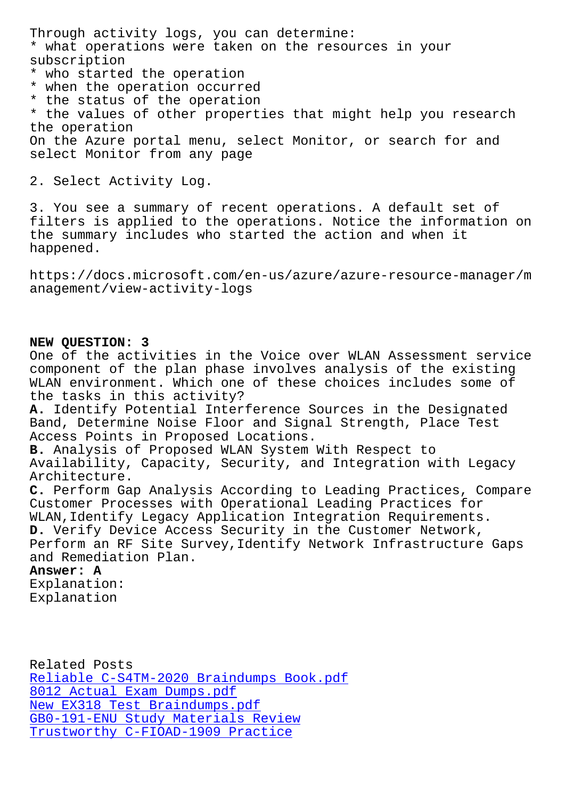what operations were taken on the resources in your subscription

- \* who started the operation
- \* when the operation occurred
- \* the status of the operation

\* the values of other properties that might help you research the operation

On the Azure portal menu, select Monitor, or search for and select Monitor from any page

2. Select Activity Log.

3. You see a summary of recent operations. A default set of filters is applied to the operations. Notice the information on the summary includes who started the action and when it happened.

https://docs.microsoft.com/en-us/azure/azure-resource-manager/m anagement/view-activity-logs

### **NEW QUESTION: 3**

One of the activities in the Voice over WLAN Assessment service component of the plan phase involves analysis of the existing WLAN environment. Which one of these choices includes some of the tasks in this activity? **A.** Identify Potential Interference Sources in the Designated Band, Determine Noise Floor and Signal Strength, Place Test Access Points in Proposed Locations. **B.** Analysis of Proposed WLAN System With Respect to Availability, Capacity, Security, and Integration with Legacy Architecture. **C.** Perform Gap Analysis According to Leading Practices, Compare Customer Processes with Operational Leading Practices for WLAN, Identify Legacy Application Integration Requirements. **D.** Verify Device Access Security in the Customer Network, Perform an RF Site Survey, Identify Network Infrastructure Gaps and Remediation Plan. **Answer: A** Explanation:

Explanation

Related Posts Reliable C-S4TM-2020 Braindumps Book.pdf 8012 Actual Exam Dumps.pdf New EX318 Test Braindumps.pdf [GB0-191-ENU Study Materials Review](http://tinova-japan.com/books/list-Reliable--Braindumps-Book.pdf-627273/C-S4TM-2020-exam.html) [Trustworthy C-FIOAD-1909 Pr](http://tinova-japan.com/books/list-Actual-Exam-Dumps.pdf-151616/8012-exam.html)actice